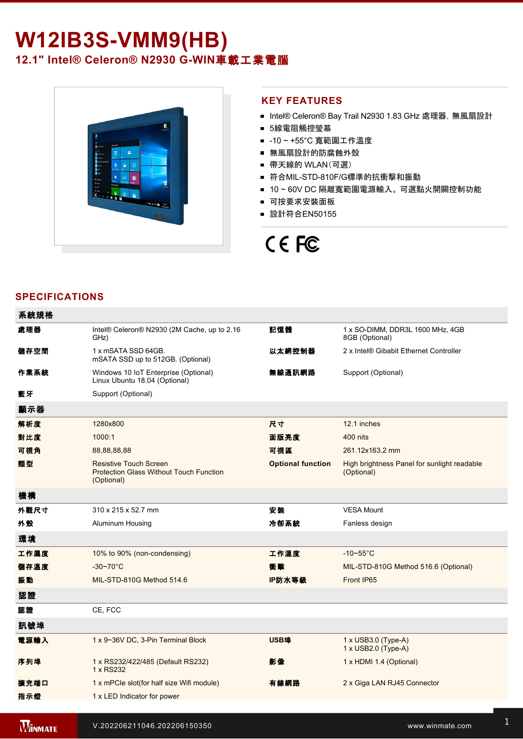# **W12IB3S-VMM9(HB)** 12.1" Intel® Celeron® N2930 G-WIN車載工業電腦



### **KEY FEATURES**

- Intel® Celeron® Bay Trail N2930 1.83 GHz 處理器, 無風扇設計
- 5線電阻觸控瑩幕
- -10~+55°C 寬範圍工作溫度
- 無風扇設計的防腐蝕外殼
- 帶天線的 WLAN(可選)
- 符合MIL-STD-810F/G標準的抗衝擊和振動
- 10~60V DC 隔離寬範圍電源輸入。可選點火開關控制功能
- 可按要求安裝面板
- 設計符合EN50155

# CE FC

## **SPECIFICATIONS**

| 系統規格 |                                                                                               |                          |                                                           |
|------|-----------------------------------------------------------------------------------------------|--------------------------|-----------------------------------------------------------|
| 處理器  | Intel® Celeron® N2930 (2M Cache, up to 2.16<br>GHz)                                           | 記憶體                      | 1 x SO-DIMM, DDR3L 1600 MHz, 4GB<br>8GB (Optional)        |
| 儲存空間 | 1 x mSATA SSD 64GB.<br>mSATA SSD up to 512GB. (Optional)                                      | 以太網控制器                   | 2 x Intel® Gibabit Ethernet Controller                    |
| 作業系統 | Windows 10 IoT Enterprise (Optional)<br>Linux Ubuntu 18.04 (Optional)                         | 無線通訊網路                   | Support (Optional)                                        |
| 藍牙   | Support (Optional)                                                                            |                          |                                                           |
| 顯示器  |                                                                                               |                          |                                                           |
| 解析度  | 1280x800                                                                                      | 尺寸                       | 12.1 inches                                               |
| 對比度  | 1000:1                                                                                        | 面版亮度                     | 400 nits                                                  |
| 可視角  | 88,88,88,88                                                                                   | 可視區                      | 261.12x163.2 mm                                           |
| 類型   | <b>Resistive Touch Screen</b><br><b>Protection Glass Without Touch Function</b><br>(Optional) | <b>Optional function</b> | High brightness Panel for sunlight readable<br>(Optional) |
| 機構   |                                                                                               |                          |                                                           |
| 外觀尺寸 | 310 x 215 x 52.7 mm                                                                           | 安装                       | <b>VESA Mount</b>                                         |
| 外殼   | Aluminum Housing                                                                              | 冷卻系統                     | Fanless design                                            |
| 環境   |                                                                                               |                          |                                                           |
| 工作濕度 | 10% to 90% (non-condensing)                                                                   | 工作溫度                     | $-10-55$ °C                                               |
| 儲存溫度 | $-30 - 70^{\circ}$ C                                                                          | 衝聲                       | MIL-STD-810G Method 516.6 (Optional)                      |
| 振動   | MIL-STD-810G Method 514.6                                                                     | IP防水等級                   | Front IP65                                                |
| 認證   |                                                                                               |                          |                                                           |
| 認證   | CE, FCC                                                                                       |                          |                                                           |
| 訊號埠  |                                                                                               |                          |                                                           |
| 電源輸入 | 1 x 9~36V DC, 3-Pin Terminal Block                                                            | <b>USB埠</b>              | 1 x USB3.0 (Type-A)<br>1 x USB2.0 (Type-A)                |
| 序列埠  | 1 x RS232/422/485 (Default RS232)<br>1 x RS232                                                | 影像                       | 1 x HDMI 1.4 (Optional)                                   |
| 擴充端口 | 1 x mPCle slot(for half size Wifi module)                                                     | 有線網路                     | 2 x Giga LAN RJ45 Connector                               |
| 指示燈  | 1 x LED Indicator for power                                                                   |                          |                                                           |
|      |                                                                                               |                          |                                                           |

**WINMATE x** 2 x Power Button Button Button Button Button Button Button Button Button Button Button Button Button Button